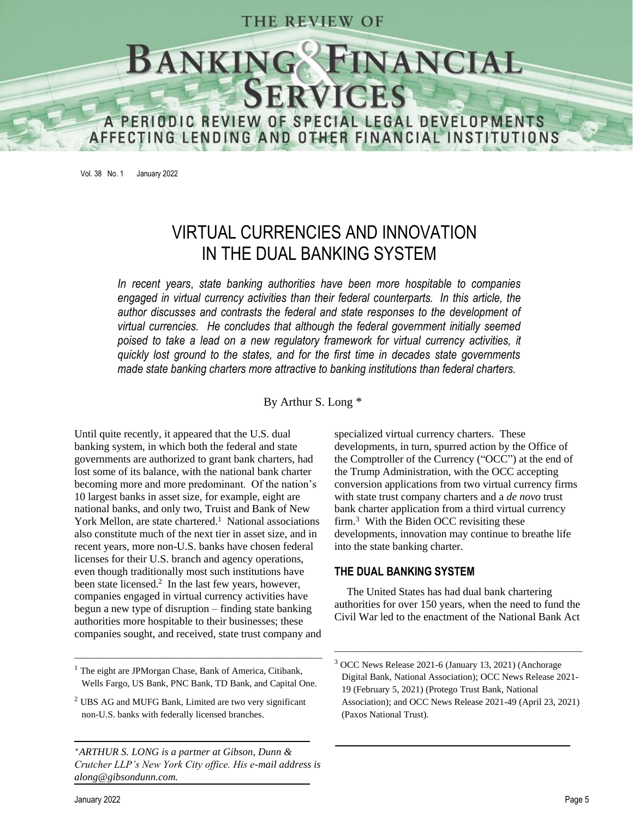## THE REVIEW OF



Vol. 38 No. 1 January 2022

# VIRTUAL CURRENCIES AND INNOVATION IN THE DUAL BANKING SYSTEM

*In recent years*, *state banking authorities have been more hospitable to companies engaged in virtual currency activities than their federal counterparts. In this article, the author discusses and contrasts the federal and state responses to the development of virtual currencies. He concludes that although the federal government initially seemed poised to take a lead on a new regulatory framework for virtual currency activities, it quickly lost ground to the states, and for the first time in decades state governments made state banking charters more attractive to banking institutions than federal charters.*

By Arthur S. Long \*

Until quite recently, it appeared that the U.S. dual banking system, in which both the federal and state governments are authorized to grant bank charters, had lost some of its balance, with the national bank charter becoming more and more predominant. Of the nation's 10 largest banks in asset size, for example, eight are national banks, and only two, Truist and Bank of New York Mellon, are state chartered.<sup>1</sup> National associations also constitute much of the next tier in asset size, and in recent years, more non-U.S. banks have chosen federal licenses for their U.S. branch and agency operations, even though traditionally most such institutions have been state licensed. 2 In the last few years, however, companies engaged in virtual currency activities have begun a new type of disruption – finding state banking authorities more hospitable to their businesses; these companies sought, and received, state trust company and

 $\frac{1}{\sqrt{2}}$  , and the contract of the contract of the contract of the contract of the contract of the contract of the contract of the contract of the contract of the contract of the contract of the contract of the contra

 *ARTHUR S. LONG is a partner at Gibson, Dunn & Crutcher LLP's New York City office. His e-mail address is along@gibsondunn.com.*

specialized virtual currency charters. These developments, in turn, spurred action by the Office of the Comptroller of the Currency ("OCC") at the end of the Trump Administration, with the OCC accepting conversion applications from two virtual currency firms with state trust company charters and a *de novo* trust bank charter application from a third virtual currency firm. 3 With the Biden OCC revisiting these developments, innovation may continue to breathe life into the state banking charter.

#### **THE DUAL BANKING SYSTEM**

The United States has had dual bank chartering authorities for over 150 years, when the need to fund the Civil War led to the enactment of the National Bank Act

 $\overline{\phantom{a}}$  , and the contract of the contract of the contract of the contract of the contract of the contract of the contract of the contract of the contract of the contract of the contract of the contract of the contrac

<sup>&</sup>lt;sup>1</sup> The eight are JPMorgan Chase, Bank of America, Citibank, Wells Fargo, US Bank, PNC Bank, TD Bank, and Capital One.

<sup>2</sup> UBS AG and MUFG Bank, Limited are two very significant non-U.S. banks with federally licensed branches.

OCC News Release 2021-6 (January 13, 2021) (Anchorage Digital Bank, National Association); OCC News Release 2021- 19 (February 5, 2021) (Protego Trust Bank, National Association); and OCC News Release 2021-49 (April 23, 2021) (Paxos National Trust).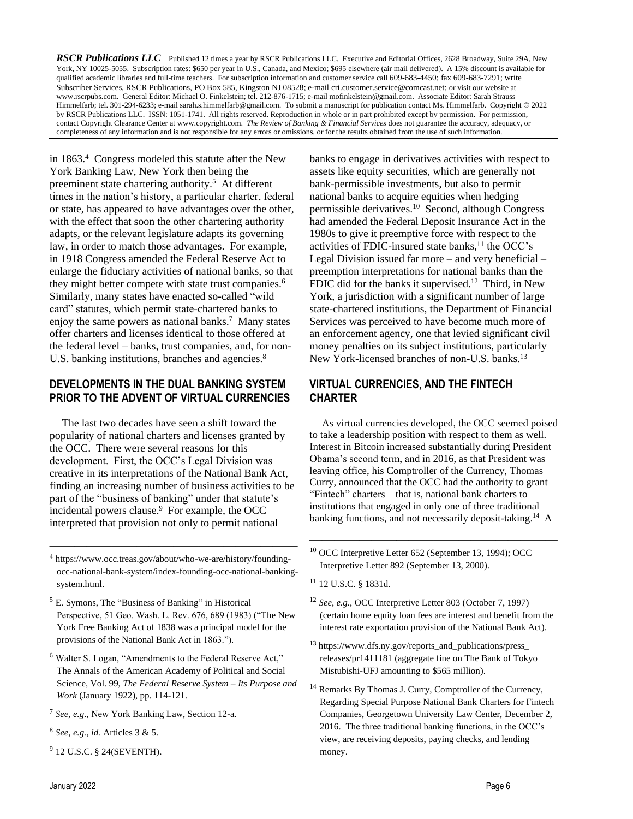*RSCR Publications LLC* Published 12 times a year by RSCR Publications LLC. Executive and Editorial Offices, 2628 Broadway, Suite 29A, New York, NY 10025-5055. Subscription rates: \$650 per year in U.S., Canada, and Mexico; \$695 elsewhere (air mail delivered). A 15% discount is available for qualified academic libraries and full-time teachers. For subscription information and customer service call 609-683-4450; fax 609-683-7291; write Subscriber Services, RSCR Publications, PO Box 585, Kingston NJ 08528; e-mai[l cri.customer.service@comcast.net;](mailto:cri.customer.service@comcast.net) or visit our website at www.rscrpubs.com. General Editor: Michael O. Finkelstein; tel. 212-876-1715; e-mail mofinkelstein@gmail.com. Associate Editor: Sarah Strauss Himmelfarb; tel. 301-294-6233; e-mail sarah.s.himmelfarb@gmail.com. To submit a manuscript for publication contact Ms. Himmelfarb. Copyright © 2022 by RSCR Publications LLC. ISSN: 1051-1741. All rights reserved. Reproduction in whole or in part prohibited except by permission. For permission, contact Copyright Clearance Center a[t www.copyright.com.](http://www.copyright.com/) *The Review of Banking & Financial Services* does not guarantee the accuracy, adequacy, or completeness of any information and is not responsible for any errors or omissions, or for the results obtained from the use of such information.

in 1863.<sup>4</sup> Congress modeled this statute after the New York Banking Law, New York then being the preeminent state chartering authority. 5 At different times in the nation's history, a particular charter, federal or state, has appeared to have advantages over the other, with the effect that soon the other chartering authority adapts, or the relevant legislature adapts its governing law, in order to match those advantages. For example, in 1918 Congress amended the Federal Reserve Act to enlarge the fiduciary activities of national banks, so that they might better compete with state trust companies.<sup>6</sup> Similarly, many states have enacted so-called "wild card" statutes, which permit state-chartered banks to enjoy the same powers as national banks.<sup>7</sup> Many states offer charters and licenses identical to those offered at the federal level – banks, trust companies, and, for non-U.S. banking institutions, branches and agencies.<sup>8</sup>

## **DEVELOPMENTS IN THE DUAL BANKING SYSTEM PRIOR TO THE ADVENT OF VIRTUAL CURRENCIES**

The last two decades have seen a shift toward the popularity of national charters and licenses granted by the OCC. There were several reasons for this development. First, the OCC's Legal Division was creative in its interpretations of the National Bank Act, finding an increasing number of business activities to be part of the "business of banking" under that statute's incidental powers clause.<sup>9</sup> For example, the OCC interpreted that provision not only to permit national

4 https://www.occ.treas.gov/about/who-we-are/history/foundingocc-national-bank-system/index-founding-occ-national-bankingsystem.html.

 $\frac{1}{\sqrt{2}}$  , and the contract of the contract of the contract of the contract of the contract of the contract of the contract of the contract of the contract of the contract of the contract of the contract of the contra

- <sup>5</sup> E. Symons, The "Business of Banking" in Historical Perspective, 51 Geo. Wash. L. Rev. 676, 689 (1983) ("The New York Free Banking Act of 1838 was a principal model for the provisions of the National Bank Act in 1863.").
- <sup>6</sup> Walter S. Logan, "Amendments to the Federal Reserve Act," The Annals of the American Academy of Political and Social Science, Vol. 99, *The Federal Reserve System – Its Purpose and Work* (January 1922), pp. 114-121.
- 7 *See, e.g.,* New York Banking Law, Section 12-a.
- 8 *See, e.g., id.* Articles 3 & 5.
- <sup>9</sup> 12 U.S.C. § 24(SEVENTH).

banks to engage in derivatives activities with respect to assets like equity securities, which are generally not bank-permissible investments, but also to permit national banks to acquire equities when hedging permissible derivatives.<sup>10</sup> Second, although Congress had amended the Federal Deposit Insurance Act in the 1980s to give it preemptive force with respect to the activities of FDIC-insured state banks, $<sup>11</sup>$  the OCC's</sup> Legal Division issued far more – and very beneficial – preemption interpretations for national banks than the FDIC did for the banks it supervised.<sup>12</sup> Third, in New York, a jurisdiction with a significant number of large state-chartered institutions, the Department of Financial Services was perceived to have become much more of an enforcement agency, one that levied significant civil money penalties on its subject institutions, particularly New York-licensed branches of non-U.S. banks.<sup>13</sup>

## **VIRTUAL CURRENCIES, AND THE FINTECH CHARTER**

As virtual currencies developed, the OCC seemed poised to take a leadership position with respect to them as well. Interest in Bitcoin increased substantially during President Obama's second term, and in 2016, as that President was leaving office, his Comptroller of the Currency, Thomas Curry, announced that the OCC had the authority to grant "Fintech" charters – that is, national bank charters to institutions that engaged in only one of three traditional banking functions, and not necessarily deposit-taking.<sup>14</sup> A

<sup>10</sup> OCC Interpretive Letter 652 (September 13, 1994); OCC Interpretive Letter 892 (September 13, 2000).

- <sup>11</sup> 12 U.S.C. § 1831d.
- <sup>12</sup> *See, e.g.,* OCC Interpretive Letter 803 (October 7, 1997) (certain home equity loan fees are interest and benefit from the interest rate exportation provision of the National Bank Act).
- <sup>13</sup> [https://www.dfs.ny.gov/reports\\_and\\_publications/press\\_](https://www.dfs.ny.gov/reports_and_publications/press_) releases/pr1411181 (aggregate fine on The Bank of Tokyo Mistubishi-UFJ amounting to \$565 million).
- <sup>14</sup> Remarks By Thomas J. Curry, Comptroller of the Currency, Regarding Special Purpose National Bank Charters for Fintech Companies, Georgetown University Law Center, December 2, 2016. The three traditional banking functions, in the OCC's view, are receiving deposits, paying checks, and lending money.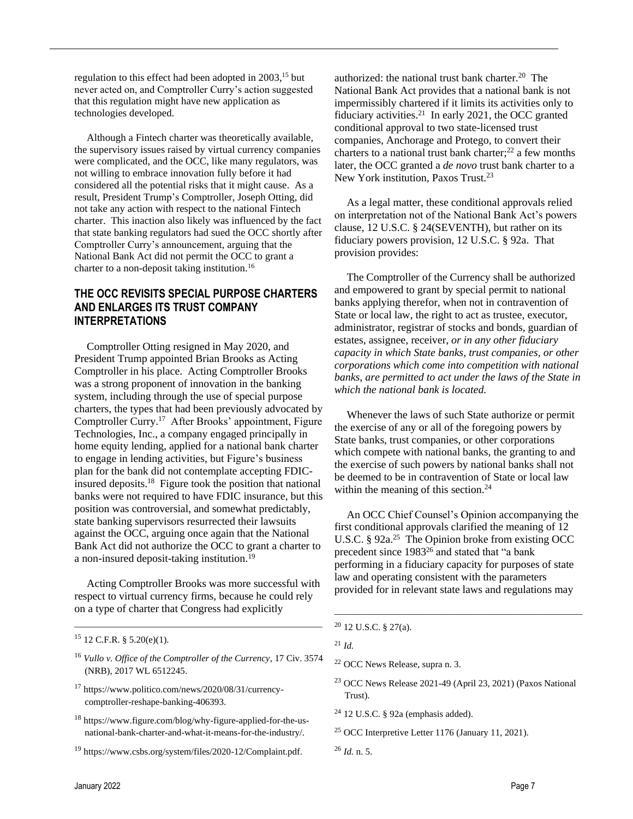regulation to this effect had been adopted in 2003, <sup>15</sup> but never acted on, and Comptroller Curry's action suggested that this regulation might have new application as technologies developed.

Although a Fintech charter was theoretically available, the supervisory issues raised by virtual currency companies were complicated, and the OCC, like many regulators, was not willing to embrace innovation fully before it had considered all the potential risks that it might cause. As a result, President Trump's Comptroller, Joseph Otting, did not take any action with respect to the national Fintech charter. This inaction also likely was influenced by the fact that state banking regulators had sued the OCC shortly after Comptroller Curry's announcement, arguing that the National Bank Act did not permit the OCC to grant a charter to a non-deposit taking institution.<sup>16</sup>

## **THE OCC REVISITS SPECIAL PURPOSE CHARTERS AND ENLARGES ITS TRUST COMPANY INTERPRETATIONS**

Comptroller Otting resigned in May 2020, and President Trump appointed Brian Brooks as Acting Comptroller in his place. Acting Comptroller Brooks was a strong proponent of innovation in the banking system, including through the use of special purpose charters, the types that had been previously advocated by Comptroller Curry.<sup>17</sup> After Brooks' appointment, Figure Technologies, Inc., a company engaged principally in home equity lending, applied for a national bank charter to engage in lending activities, but Figure's business plan for the bank did not contemplate accepting FDICinsured deposits.<sup>18</sup> Figure took the position that national banks were not required to have FDIC insurance, but this position was controversial, and somewhat predictably, state banking supervisors resurrected their lawsuits against the OCC, arguing once again that the National Bank Act did not authorize the OCC to grant a charter to a non-insured deposit-taking institution.<sup>19</sup>

Acting Comptroller Brooks was more successful with respect to virtual currency firms, because he could rely on a type of charter that Congress had explicitly

 $\frac{1}{\sqrt{2}}$  , and the contract of the contract of the contract of the contract of the contract of the contract of the contract of the contract of the contract of the contract of the contract of the contract of the contra

<sup>19</sup> https://www.csbs.org/system/files/2020-12/Complaint.pdf.

authorized: the national trust bank charter.<sup>20</sup> The National Bank Act provides that a national bank is not impermissibly chartered if it limits its activities only to fiduciary activities. $21$  In early 2021, the OCC granted conditional approval to two state-licensed trust companies, Anchorage and Protego, to convert their charters to a national trust bank charter; <sup>22</sup> a few months later, the OCC granted a *de novo* trust bank charter to a New York institution, Paxos Trust.<sup>23</sup>

As a legal matter, these conditional approvals relied on interpretation not of the National Bank Act's powers clause, 12 U.S.C. § 24(SEVENTH), but rather on its fiduciary powers provision, 12 U.S.C. § 92a. That provision provides:

The Comptroller of the Currency shall be authorized and empowered to grant by special permit to national banks applying therefor, when not in contravention of State or local law, the right to act as trustee, executor, administrator, registrar of stocks and bonds, guardian of estates, assignee, receiver, *or in any other fiduciary capacity in which State banks, trust companies, or other corporations which come into competition with national banks, are permitted to act under the laws of the State in which the national bank is located.*

Whenever the laws of such State authorize or permit the exercise of any or all of the foregoing powers by State banks, trust companies, or other corporations which compete with national banks, the granting to and the exercise of such powers by national banks shall not be deemed to be in contravention of State or local law within the meaning of this section. $24$ 

An OCC Chief Counsel's Opinion accompanying the first conditional approvals clarified the meaning of 12 U.S.C. § 92a.<sup>25</sup> The Opinion broke from existing OCC precedent since 1983<sup>26</sup> and stated that "a bank performing in a fiduciary capacity for purposes of state law and operating consistent with the parameters provided for in relevant state laws and regulations may

- <sup>23</sup> OCC News Release 2021-49 (April 23, 2021) (Paxos National Trust).
- <sup>24</sup> 12 U.S.C. § 92a (emphasis added).
- <sup>25</sup> OCC Interpretive Letter 1176 (January 11, 2021).
- <sup>26</sup> *Id.* n. 5.

 $15$  12 C.F.R. § 5.20(e)(1).

<sup>16</sup> *Vullo v. Office of the Comptroller of the Currency*, 17 Civ. 3574 (NRB), 2017 WL 6512245.

<sup>17</sup> https://www.politico.com/news/2020/08/31/currencycomptroller-reshape-banking-406393.

<sup>18</sup> https://www.figure.com/blog/why-figure-applied-for-the-usnational-bank-charter-and-what-it-means-for-the-industry/.

<sup>20</sup> 12 U.S.C. § 27(a).

<sup>21</sup> *Id.*

<sup>22</sup> OCC News Release, supra n. 3.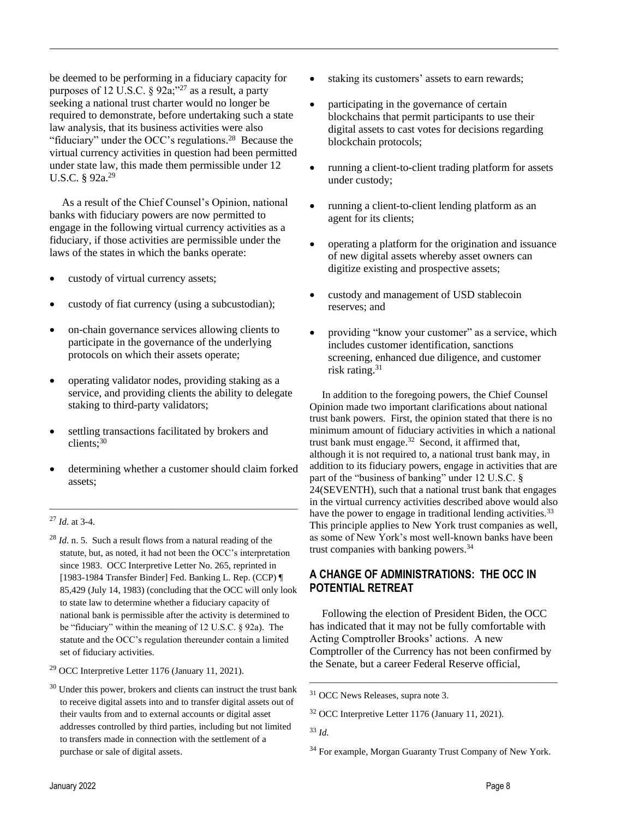be deemed to be performing in a fiduciary capacity for purposes of 12 U.S.C.  $\S 92a$ ;"<sup>27</sup> as a result, a party seeking a national trust charter would no longer be required to demonstrate, before undertaking such a state law analysis, that its business activities were also "fiduciary" under the OCC's regulations.<sup>28</sup> Because the virtual currency activities in question had been permitted under state law, this made them permissible under 12 U.S.C. § 92a.<sup>29</sup>

As a result of the Chief Counsel's Opinion, national banks with fiduciary powers are now permitted to engage in the following virtual currency activities as a fiduciary, if those activities are permissible under the laws of the states in which the banks operate:

- custody of virtual currency assets;
- custody of fiat currency (using a subcustodian);
- on-chain governance services allowing clients to participate in the governance of the underlying protocols on which their assets operate;
- operating validator nodes, providing staking as a service, and providing clients the ability to delegate staking to third-party validators;
- settling transactions facilitated by brokers and clients; 30
- determining whether a customer should claim forked assets;

 $\frac{1}{\sqrt{2}}$  , and the contract of the contract of the contract of the contract of the contract of the contract of the contract of the contract of the contract of the contract of the contract of the contract of the contra

#### <sup>27</sup> *Id.* at 3-4.

- <sup>28</sup> *Id.* n. 5. Such a result flows from a natural reading of the statute, but, as noted, it had not been the OCC's interpretation since 1983. OCC Interpretive Letter No. 265, reprinted in [1983-1984 Transfer Binder] Fed. Banking L. Rep. (CCP) ¶ 85,429 (July 14, 1983) (concluding that the OCC will only look to state law to determine whether a fiduciary capacity of national bank is permissible after the activity is determined to be "fiduciary" within the meaning of 12 U.S.C. § 92a). The statute and the OCC's regulation thereunder contain a limited set of fiduciary activities.
- <sup>29</sup> OCC Interpretive Letter 1176 (January 11, 2021).
- Under this power, brokers and clients can instruct the trust bank to receive digital assets into and to transfer digital assets out of their vaults from and to external accounts or digital asset addresses controlled by third parties, including but not limited to transfers made in connection with the settlement of a purchase or sale of digital assets.
- staking its customers' assets to earn rewards;
- participating in the governance of certain blockchains that permit participants to use their digital assets to cast votes for decisions regarding blockchain protocols;
- running a client-to-client trading platform for assets under custody;
- running a client-to-client lending platform as an agent for its clients;
- operating a platform for the origination and issuance of new digital assets whereby asset owners can digitize existing and prospective assets;
- custody and management of USD stablecoin reserves; and
- providing "know your customer" as a service, which includes customer identification, sanctions screening, enhanced due diligence, and customer risk rating. 31

In addition to the foregoing powers, the Chief Counsel Opinion made two important clarifications about national trust bank powers. First, the opinion stated that there is no minimum amount of fiduciary activities in which a national trust bank must engage. $32$  Second, it affirmed that, although it is not required to, a national trust bank may, in addition to its fiduciary powers, engage in activities that are part of the "business of banking" under 12 U.S.C. § 24(SEVENTH), such that a national trust bank that engages in the virtual currency activities described above would also have the power to engage in traditional lending activities.<sup>33</sup> This principle applies to New York trust companies as well, as some of New York's most well-known banks have been trust companies with banking powers.<sup>34</sup>

## **A CHANGE OF ADMINISTRATIONS: THE OCC IN POTENTIAL RETREAT**

Following the election of President Biden, the OCC has indicated that it may not be fully comfortable with Acting Comptroller Brooks' actions. A new Comptroller of the Currency has not been confirmed by the Senate, but a career Federal Reserve official,

<sup>31</sup> OCC News Releases, supra note 3.

<sup>32</sup> OCC Interpretive Letter 1176 (January 11, 2021).

<sup>33</sup> *Id.* 

<sup>&</sup>lt;sup>34</sup> For example, Morgan Guaranty Trust Company of New York.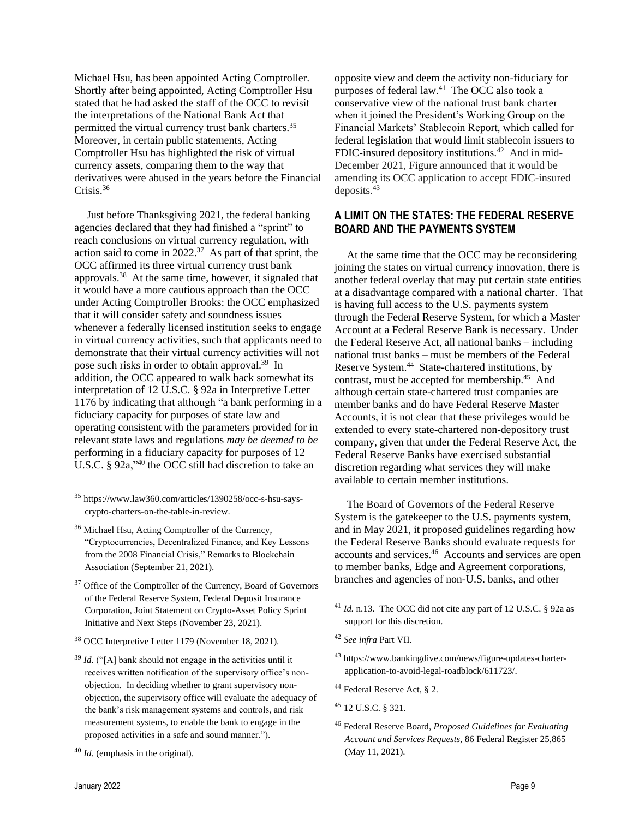Michael Hsu, has been appointed Acting Comptroller. Shortly after being appointed, Acting Comptroller Hsu stated that he had asked the staff of the OCC to revisit the interpretations of the National Bank Act that permitted the virtual currency trust bank charters.<sup>35</sup> Moreover, in certain public statements, Acting Comptroller Hsu has highlighted the risk of virtual currency assets, comparing them to the way that derivatives were abused in the years before the Financial Crisis.<sup>36</sup>

Just before Thanksgiving 2021, the federal banking agencies declared that they had finished a "sprint" to reach conclusions on virtual currency regulation, with action said to come in  $2022.^{37}$  As part of that sprint, the OCC affirmed its three virtual currency trust bank approvals.<sup>38</sup> At the same time, however, it signaled that it would have a more cautious approach than the OCC under Acting Comptroller Brooks: the OCC emphasized that it will consider safety and soundness issues whenever a federally licensed institution seeks to engage in virtual currency activities, such that applicants need to demonstrate that their virtual currency activities will not pose such risks in order to obtain approval.<sup>39</sup> In addition, the OCC appeared to walk back somewhat its interpretation of 12 U.S.C. § 92a in Interpretive Letter 1176 by indicating that although "a bank performing in a fiduciary capacity for purposes of state law and operating consistent with the parameters provided for in relevant state laws and regulations *may be deemed to be* performing in a fiduciary capacity for purposes of 12 U.S.C. § 92a,"<sup>40</sup> the OCC still had discretion to take an

<sup>35</sup> https://www.law360.com/articles/1390258/occ-s-hsu-sayscrypto-charters-on-the-table-in-review.

 $\frac{1}{\sqrt{2}}$  , and the contract of the contract of the contract of the contract of the contract of the contract of the contract of the contract of the contract of the contract of the contract of the contract of the contra

- <sup>36</sup> Michael Hsu, Acting Comptroller of the Currency, "Cryptocurrencies, Decentralized Finance, and Key Lessons from the 2008 Financial Crisis," Remarks to Blockchain Association (September 21, 2021).
- <sup>37</sup> Office of the Comptroller of the Currency, Board of Governors of the Federal Reserve System, Federal Deposit Insurance Corporation, Joint Statement on Crypto-Asset Policy Sprint Initiative and Next Steps (November 23, 2021).
- <sup>38</sup> OCC Interpretive Letter 1179 (November 18, 2021).
- <sup>39</sup> *Id.* ("[A] bank should not engage in the activities until it receives written notification of the supervisory office's nonobjection. In deciding whether to grant supervisory nonobjection, the supervisory office will evaluate the adequacy of the bank's risk management systems and controls, and risk measurement systems, to enable the bank to engage in the proposed activities in a safe and sound manner.").

opposite view and deem the activity non-fiduciary for purposes of federal law.<sup>41</sup> The OCC also took a conservative view of the national trust bank charter when it joined the President's Working Group on the Financial Markets' Stablecoin Report, which called for federal legislation that would limit stablecoin issuers to FDIC-insured depository institutions.<sup>42</sup> And in mid-December 2021, Figure announced that it would be amending its OCC application to accept FDIC-insured deposits. 43

## **A LIMIT ON THE STATES: THE FEDERAL RESERVE BOARD AND THE PAYMENTS SYSTEM**

At the same time that the OCC may be reconsidering joining the states on virtual currency innovation, there is another federal overlay that may put certain state entities at a disadvantage compared with a national charter. That is having full access to the U.S. payments system through the Federal Reserve System, for which a Master Account at a Federal Reserve Bank is necessary. Under the Federal Reserve Act, all national banks – including national trust banks – must be members of the Federal Reserve System.<sup>44</sup> State-chartered institutions, by contrast, must be accepted for membership.<sup>45</sup> And although certain state-chartered trust companies are member banks and do have Federal Reserve Master Accounts, it is not clear that these privileges would be extended to every state-chartered non-depository trust company, given that under the Federal Reserve Act, the Federal Reserve Banks have exercised substantial discretion regarding what services they will make available to certain member institutions.

The Board of Governors of the Federal Reserve System is the gatekeeper to the U.S. payments system, and in May 2021, it proposed guidelines regarding how the Federal Reserve Banks should evaluate requests for accounts and services. 46 Accounts and services are open to member banks, Edge and Agreement corporations, branches and agencies of non-U.S. banks, and other

- <sup>43</sup> [https://www.bankingdive.com/news/figure-updates-charter](https://www.bankingdive.com/news/figure-updates-charter-application-to-avoid-legal-roadblock/611723/)[application-to-avoid-legal-roadblock/611723/.](https://www.bankingdive.com/news/figure-updates-charter-application-to-avoid-legal-roadblock/611723/)
- <sup>44</sup> Federal Reserve Act, § 2.
- <sup>45</sup> 12 U.S.C. § 321.
- <sup>46</sup> Federal Reserve Board, *Proposed Guidelines for Evaluating Account and Services Requests*, 86 Federal Register 25,865 (May 11, 2021).

<sup>40</sup> *Id.* (emphasis in the original).

<sup>41</sup> *Id.* n.13. The OCC did not cite any part of 12 U.S.C. § 92a as support for this discretion.

<sup>42</sup> *See infra* Part VII.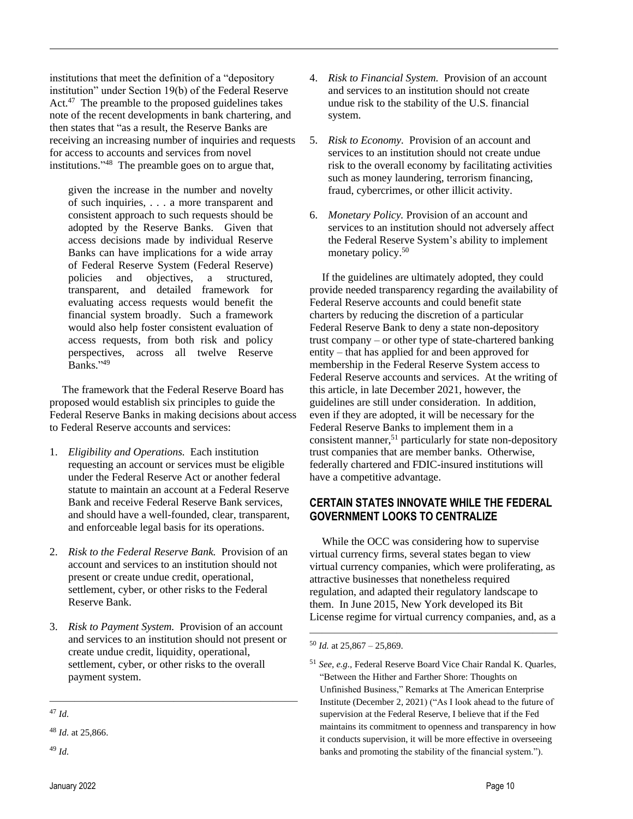institutions that meet the definition of a "depository institution" under Section 19(b) of the Federal Reserve Act.<sup>47</sup> The preamble to the proposed guidelines takes note of the recent developments in bank chartering, and then states that "as a result, the Reserve Banks are receiving an increasing number of inquiries and requests for access to accounts and services from novel institutions." 48 The preamble goes on to argue that,

given the increase in the number and novelty of such inquiries, . . . a more transparent and consistent approach to such requests should be adopted by the Reserve Banks. Given that access decisions made by individual Reserve Banks can have implications for a wide array of Federal Reserve System (Federal Reserve) policies and objectives, a structured, transparent, and detailed framework for evaluating access requests would benefit the financial system broadly. Such a framework would also help foster consistent evaluation of access requests, from both risk and policy perspectives, across all twelve Reserve Banks." 49

The framework that the Federal Reserve Board has proposed would establish six principles to guide the Federal Reserve Banks in making decisions about access to Federal Reserve accounts and services:

- 1. *Eligibility and Operations.* Each institution requesting an account or services must be eligible under the Federal Reserve Act or another federal statute to maintain an account at a Federal Reserve Bank and receive Federal Reserve Bank services, and should have a well-founded, clear, transparent, and enforceable legal basis for its operations.
- 2. *Risk to the Federal Reserve Bank.* Provision of an account and services to an institution should not present or create undue credit, operational, settlement, cyber, or other risks to the Federal Reserve Bank.
- 3. *Risk to Payment System.* Provision of an account and services to an institution should not present or create undue credit, liquidity, operational, settlement, cyber, or other risks to the overall payment system.
- $\frac{1}{\sqrt{2}}$  , and the contract of the contract of the contract of the contract of the contract of the contract of the contract of the contract of the contract of the contract of the contract of the contract of the contra <sup>47</sup> *Id.*
- 4. *Risk to Financial System.* Provision of an account and services to an institution should not create undue risk to the stability of the U.S. financial system.
- 5. *Risk to Economy.* Provision of an account and services to an institution should not create undue risk to the overall economy by facilitating activities such as money laundering, terrorism financing, fraud, cybercrimes, or other illicit activity.
- 6. *Monetary Policy.* Provision of an account and services to an institution should not adversely affect the Federal Reserve System's ability to implement monetary policy.<sup>50</sup>

If the guidelines are ultimately adopted, they could provide needed transparency regarding the availability of Federal Reserve accounts and could benefit state charters by reducing the discretion of a particular Federal Reserve Bank to deny a state non-depository trust company – or other type of state-chartered banking entity – that has applied for and been approved for membership in the Federal Reserve System access to Federal Reserve accounts and services. At the writing of this article, in late December 2021, however, the guidelines are still under consideration. In addition, even if they are adopted, it will be necessary for the Federal Reserve Banks to implement them in a consistent manner,<sup>51</sup> particularly for state non-depository trust companies that are member banks. Otherwise, federally chartered and FDIC-insured institutions will have a competitive advantage.

## **CERTAIN STATES INNOVATE WHILE THE FEDERAL GOVERNMENT LOOKS TO CENTRALIZE**

While the OCC was considering how to supervise virtual currency firms, several states began to view virtual currency companies, which were proliferating, as attractive businesses that nonetheless required regulation, and adapted their regulatory landscape to them. In June 2015, New York developed its Bit License regime for virtual currency companies, and, as a

<sup>48</sup> *Id.* at 25,866.

<sup>49</sup> *Id.*

<sup>50</sup> *Id.* at 25,867 – 25,869.

<sup>51</sup> *See, e.g.,* Federal Reserve Board Vice Chair Randal K. Quarles, "Between the Hither and Farther Shore: Thoughts on Unfinished Business," Remarks at The American Enterprise Institute (December 2, 2021) ("As I look ahead to the future of supervision at the Federal Reserve, I believe that if the Fed maintains its commitment to openness and transparency in how it conducts supervision, it will be more effective in overseeing banks and promoting the stability of the financial system.").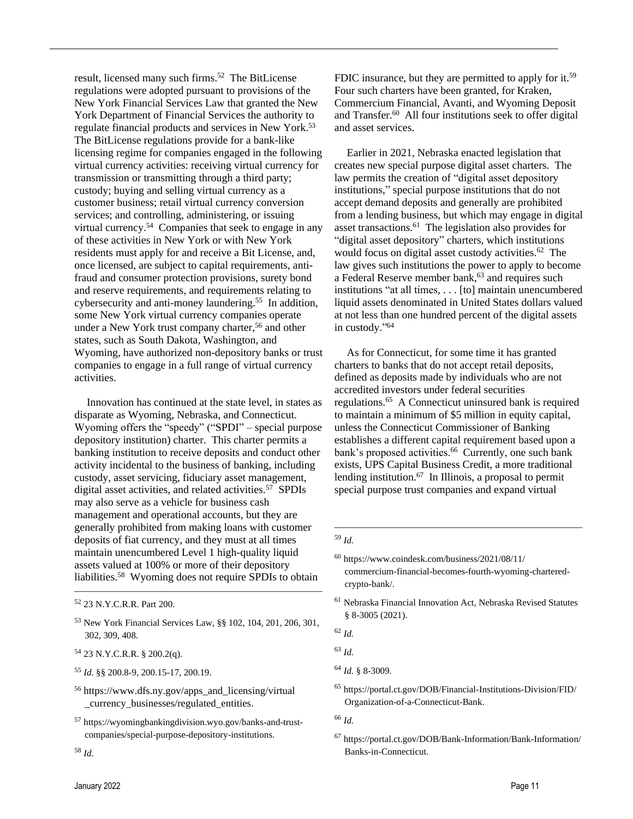result, licensed many such firms.<sup>52</sup> The BitLicense regulations were adopted pursuant to provisions of the New York Financial Services Law that granted the New York Department of Financial Services the authority to regulate financial products and services in New York.<sup>53</sup> The BitLicense regulations provide for a bank-like licensing regime for companies engaged in the following virtual currency activities: receiving virtual currency for transmission or transmitting through a third party; custody; buying and selling virtual currency as a customer business; retail virtual currency conversion services; and controlling, administering, or issuing virtual currency.<sup>54</sup> Companies that seek to engage in any of these activities in New York or with New York residents must apply for and receive a Bit License, and, once licensed, are subject to capital requirements, antifraud and consumer protection provisions, surety bond and reserve requirements, and requirements relating to cybersecurity and anti-money laundering.<sup>55</sup> In addition, some New York virtual currency companies operate under a New York trust company charter,<sup>56</sup> and other states, such as South Dakota, Washington, and Wyoming, have authorized non-depository banks or trust companies to engage in a full range of virtual currency activities.

Innovation has continued at the state level, in states as disparate as Wyoming, Nebraska, and Connecticut. Wyoming offers the "speedy" ("SPDI" – special purpose depository institution) charter. This charter permits a banking institution to receive deposits and conduct other activity incidental to the business of banking, including custody, asset servicing, fiduciary asset management, digital asset activities, and related activities.<sup>57</sup> SPDIs may also serve as a vehicle for business cash management and operational accounts, but they are generally prohibited from making loans with customer deposits of fiat currency, and they must at all times maintain unencumbered Level 1 high-quality liquid assets valued at 100% or more of their depository liabilities.<sup>58</sup> Wyoming does not require SPDIs to obtain

 $\frac{1}{\sqrt{2}}$  , and the contract of the contract of the contract of the contract of the contract of the contract of the contract of the contract of the contract of the contract of the contract of the contract of the contra

- <sup>54</sup> 23 N.Y.C.R.R. § 200.2(q).
- <sup>55</sup> *Id.* §§ 200.8-9, 200.15-17, 200.19.
- <sup>56</sup> [https://www.dfs.ny.gov/apps\\_and\\_licensing/virtual](https://www.dfs.ny.gov/apps_and_licensing/virtual) \_currency\_businesses/regulated\_entities.
- <sup>57</sup> https://wyomingbankingdivision.wyo.gov/banks-and-trustcompanies/special-purpose-depository-institutions.

FDIC insurance, but they are permitted to apply for it.<sup>59</sup> Four such charters have been granted, for Kraken, Commercium Financial, Avanti, and Wyoming Deposit and Transfer.<sup>60</sup> All four institutions seek to offer digital and asset services.

Earlier in 2021, Nebraska enacted legislation that creates new special purpose digital asset charters. The law permits the creation of "digital asset depository institutions," special purpose institutions that do not accept demand deposits and generally are prohibited from a lending business, but which may engage in digital asset transactions. 61 The legislation also provides for "digital asset depository" charters, which institutions would focus on digital asset custody activities.<sup>62</sup> The law gives such institutions the power to apply to become a Federal Reserve member bank,<sup>63</sup> and requires such institutions "at all times, . . . [to] maintain unencumbered liquid assets denominated in United States dollars valued at not less than one hundred percent of the digital assets in custody." 64

As for Connecticut, for some time it has granted charters to banks that do not accept retail deposits, defined as deposits made by individuals who are not accredited investors under federal securities regulations. 65 A Connecticut uninsured bank is required to maintain a minimum of \$5 million in equity capital, unless the Connecticut Commissioner of Banking establishes a different capital requirement based upon a bank's proposed activities.<sup>66</sup> Currently, one such bank exists, UPS Capital Business Credit, a more traditional lending institution.<sup>67</sup> In Illinois, a proposal to permit special purpose trust companies and expand virtual

<sup>52</sup> 23 N.Y.C.R.R. Part 200.

<sup>53</sup> New York Financial Services Law, §§ 102, 104, 201, 206, 301, 302, 309, 408.

<sup>58</sup> *Id.*

<sup>59</sup> *Id.*

<sup>60</sup> https://www.coindesk.com/business/2021/08/11/ commercium-financial-becomes-fourth-wyoming-charteredcrypto-bank/.

<sup>61</sup> Nebraska Financial Innovation Act, Nebraska Revised Statutes § 8-3005 (2021).

<sup>62</sup> *Id.*

<sup>63</sup> *Id.*

<sup>64</sup> *Id.* § 8-3009.

<sup>65</sup> <https://portal.ct.gov/DOB/Financial-Institutions-Division/FID/> Organization-of-a-Connecticut-Bank.

<sup>66</sup> *Id.*

<sup>67</sup> <https://portal.ct.gov/DOB/Bank-Information/Bank-Information/> Banks-in-Connecticut.